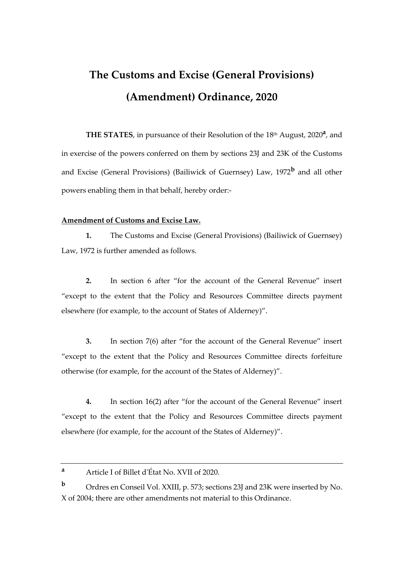## **The Customs and Excise (General Provisions) (Amendment) Ordinance, 2020**

THE STATES, in pursuance of their Resolution of the 18<sup>th</sup> August, 2020<sup>a</sup>, and in exercise of the powers conferred on them by sections 23J and 23K of the Customs and Excise (General Provisions) (Bailiwick of Guernsey) Law, 1972**<sup>b</sup>** and all other powers enabling them in that behalf, hereby order:-

## **Amendment of Customs and Excise Law.**

**1.** The Customs and Excise (General Provisions) (Bailiwick of Guernsey) Law, 1972 is further amended as follows.

**2.** In section 6 after "for the account of the General Revenue" insert "except to the extent that the Policy and Resources Committee directs payment elsewhere (for example, to the account of States of Alderney)".

**3.** In section 7(6) after "for the account of the General Revenue" insert "except to the extent that the Policy and Resources Committee directs forfeiture otherwise (for example, for the account of the States of Alderney)".

**4.** In section 16(2) after "for the account of the General Revenue" insert "except to the extent that the Policy and Resources Committee directs payment elsewhere (for example, for the account of the States of Alderney)".

**<sup>b</sup>** Ordres en Conseil Vol. XXIII, p. 573; sections 23J and 23K were inserted by No. X of 2004; there are other amendments not material to this Ordinance.

**<sup>a</sup>** Article I of Billet d'État No. XVII of 2020.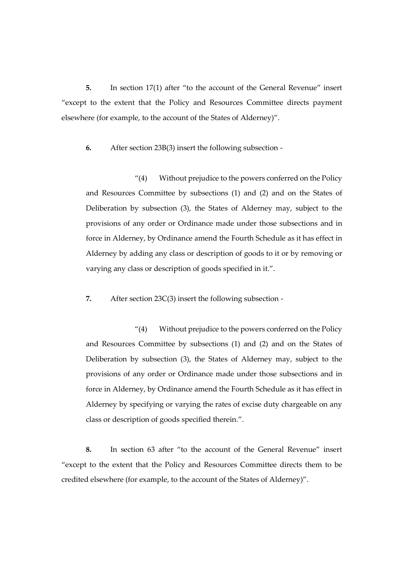**5.** In section 17(1) after "to the account of the General Revenue" insert "except to the extent that the Policy and Resources Committee directs payment elsewhere (for example, to the account of the States of Alderney)".

**6.** After section 23B(3) insert the following subsection -

"(4) Without prejudice to the powers conferred on the Policy and Resources Committee by subsections (1) and (2) and on the States of Deliberation by subsection (3), the States of Alderney may, subject to the provisions of any order or Ordinance made under those subsections and in force in Alderney, by Ordinance amend the Fourth Schedule as it has effect in Alderney by adding any class or description of goods to it or by removing or varying any class or description of goods specified in it.".

**7.** After section 23C(3) insert the following subsection -

"(4) Without prejudice to the powers conferred on the Policy and Resources Committee by subsections (1) and (2) and on the States of Deliberation by subsection (3), the States of Alderney may, subject to the provisions of any order or Ordinance made under those subsections and in force in Alderney, by Ordinance amend the Fourth Schedule as it has effect in Alderney by specifying or varying the rates of excise duty chargeable on any class or description of goods specified therein.".

**8.** In section 63 after "to the account of the General Revenue" insert "except to the extent that the Policy and Resources Committee directs them to be credited elsewhere (for example, to the account of the States of Alderney)".